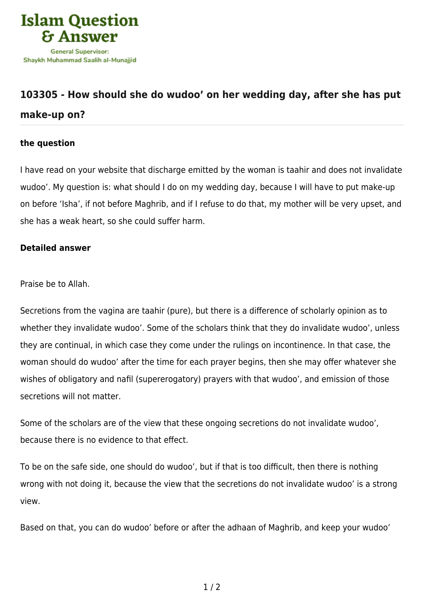

## **[103305 - How should she do wudoo' on her wedding day, after she has put](https://islamqa.com/en/answers/103305/how-should-she-do-wudoo-on-her-wedding-day-after-she-has-put-make-up-on) [make-up on?](https://islamqa.com/en/answers/103305/how-should-she-do-wudoo-on-her-wedding-day-after-she-has-put-make-up-on)**

## **the question**

I have read on your website that discharge emitted by the woman is taahir and does not invalidate wudoo'. My question is: what should I do on my wedding day, because I will have to put make-up on before 'Isha', if not before Maghrib, and if I refuse to do that, my mother will be very upset, and she has a weak heart, so she could suffer harm.

## **Detailed answer**

Praise be to Allah.

Secretions from the vagina are taahir (pure), but there is a difference of scholarly opinion as to whether they invalidate wudoo'. Some of the scholars think that they do invalidate wudoo', unless they are continual, in which case they come under the rulings on incontinence. In that case, the woman should do wudoo' after the time for each prayer begins, then she may offer whatever she wishes of obligatory and nafil (supererogatory) prayers with that wudoo', and emission of those secretions will not matter.

Some of the scholars are of the view that these ongoing secretions do not invalidate wudoo', because there is no evidence to that effect.

To be on the safe side, one should do wudoo', but if that is too difficult, then there is nothing wrong with not doing it, because the view that the secretions do not invalidate wudoo' is a strong view.

Based on that, you can do wudoo' before or after the adhaan of Maghrib, and keep your wudoo'